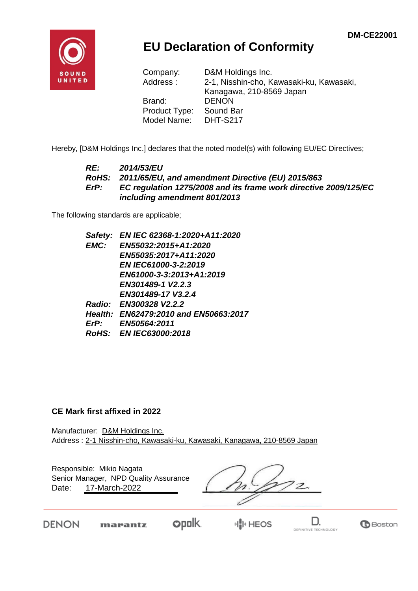

## **EU Declaration of Conformity**

| Company:      | D&M Holdings Inc.                        |
|---------------|------------------------------------------|
| Address:      | 2-1, Nisshin-cho, Kawasaki-ku, Kawasaki, |
|               | Kanagawa, 210-8569 Japan                 |
| Brand:        | <b>DENON</b>                             |
| Product Type: | Sound Bar                                |
| Model Name:   | <b>DHT-S217</b>                          |

Hereby, [D&M Holdings Inc.] declares that the noted model(s) with following EU/EC Directives;

#### *RE: 2014/53/EU RoHS: 2011/65/EU, and amendment Directive (EU) 2015/863 ErP: EC regulation 1275/2008 and its frame work directive 2009/125/EC including amendment 801/2013*

The following standards are applicable;

*Safety: EN IEC 62368-1:2020+A11:2020 EMC: EN55032:2015+A1:2020 EN55035:2017+A11:2020 EN IEC61000-3-2:2019 EN61000-3-3:2013+A1:2019 EN301489-1 V2.2.3 EN301489-17 V3.2.4 Radio: EN300328 V2.2.2 Health: EN62479:2010 and EN50663:2017 ErP: EN50564:2011 RoHS: EN IEC63000:2018*

#### **CE Mark first affixed in 2022**

Manufacturer: D&M Holdings Inc. Address : 2-1 Nisshin-cho, Kawasaki-ku, Kawasaki, Kanagawa, 210-8569 Japan

Responsible: Mikio Nagata Date: 17-March-2022 Senior Manager, NPD Quality Assurance

**DENON** 

opolk. marantz

H<mark>I</mark>II HEOS



**B**Boston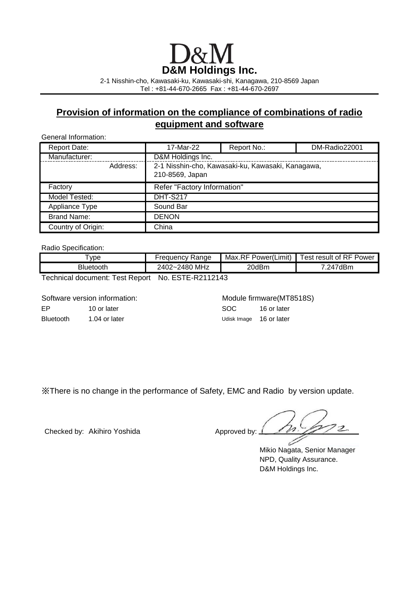# **D&M Holdings Inc.**

2-1 Nisshin-cho, Kawasaki-ku, Kawasaki-shi, Kanagawa, 210-8569 Japan Tel : +81-44-670-2665 Fax : +81-44-670-2697

### **Provision of information on the compliance of combinations of radio equipment and software**

General Information:

| <b>Report Date:</b> |          | 17-Mar-22                   | Report No.:                                       | DM-Radio22001 |
|---------------------|----------|-----------------------------|---------------------------------------------------|---------------|
| Manufacturer:       |          | D&M Holdings Inc.           |                                                   |               |
|                     | Address: | 210-8569, Japan             | 2-1 Nisshin-cho, Kawasaki-ku, Kawasaki, Kanagawa, |               |
| Factory             |          | Refer "Factory Information" |                                                   |               |
| Model Tested:       |          | <b>DHT-S217</b>             |                                                   |               |
| Appliance Type      |          | Sound Bar                   |                                                   |               |
| <b>Brand Name:</b>  |          | <b>DENON</b>                |                                                   |               |
| Country of Origin:  |          | China                       |                                                   |               |

Radio Specification:

| vpe       | reauencv Ranae              | Max.RF<br>Power(Limit) | <b>Fest result of RF</b><br>Power |
|-----------|-----------------------------|------------------------|-----------------------------------|
| Bluetooth | MHz<br>2480<br>:02~،<br>١Δ١ | 20dBm                  | 'dBm<br>οД                        |

Technical document: Test Report No. ESTE-R2112143

Software version information: Module firmware(MT8518S)

Bluetooth 1.04 or later 1.04 or later Udisk Image 16 or later

EP 10 or later 10 or later SOC 16 or later

※There is no change in the performance of Safety, EMC and Radio by version update.

Checked by: Akihiro Yoshida Approved by:

 $22$ 

Mikio Nagata, Senior Manager NPD, Quality Assurance. D&M Holdings Inc.